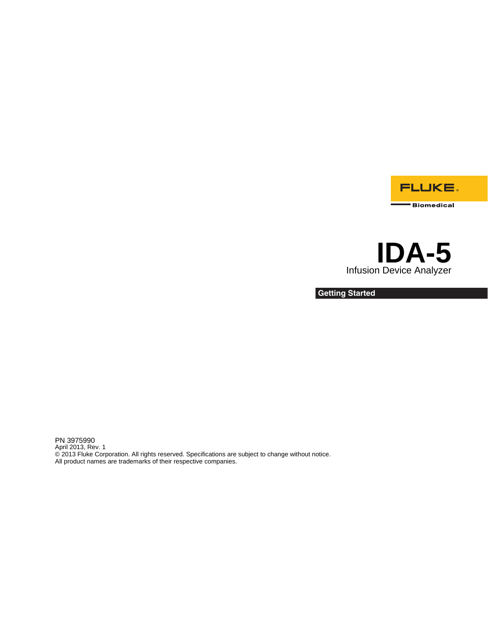

# **IDA-5**  Infusion Device Analyzer

**Getting Started**

PN 3975990 April 2013, Rev. 1 © 2013 Fluke Corporation. All rights reserved. Specifications are subject to change without notice. All product names are trademarks of their respective companies.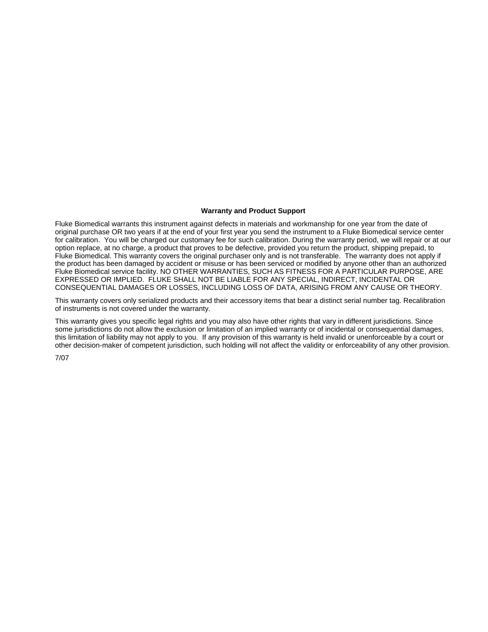#### **Warranty and Product Support**

Fluke Biomedical warrants this instrument against defects in materials and workmanship for one year from the date of original purchase OR two years if at the end of your first year you send the instrument to a Fluke Biomedical service center for calibration. You will be charged our customary fee for such calibration. During the warranty period, we will repair or at our option replace, at no charge, a product that proves to be defective, provided you return the product, shipping prepaid, to Fluke Biomedical. This warranty covers the original purchaser only and is not transferable. The warranty does not apply if the product has been damaged by accident or misuse or has been serviced or modified by anyone other than an authorized Fluke Biomedical service facility. NO OTHER WARRANTIES, SUCH AS FITNESS FOR A PARTICULAR PURPOSE, ARE EXPRESSED OR IMPLIED. FLUKE SHALL NOT BE LIABLE FOR ANY SPECIAL, INDIRECT, INCIDENTAL OR CONSEQUENTIAL DAMAGES OR LOSSES, INCLUDING LOSS OF DATA, ARISING FROM ANY CAUSE OR THEORY.

This warranty covers only serialized products and their accessory items that bear a distinct serial number tag. Recalibration of instruments is not covered under the warranty.

This warranty gives you specific legal rights and you may also have other rights that vary in different jurisdictions. Since some jurisdictions do not allow the exclusion or limitation of an implied warranty or of incidental or consequential damages, this limitation of liability may not apply to you. If any provision of this warranty is held invalid or unenforceable by a court or other decision-maker of competent jurisdiction, such holding will not affect the validity or enforceability of any other provision.

7/07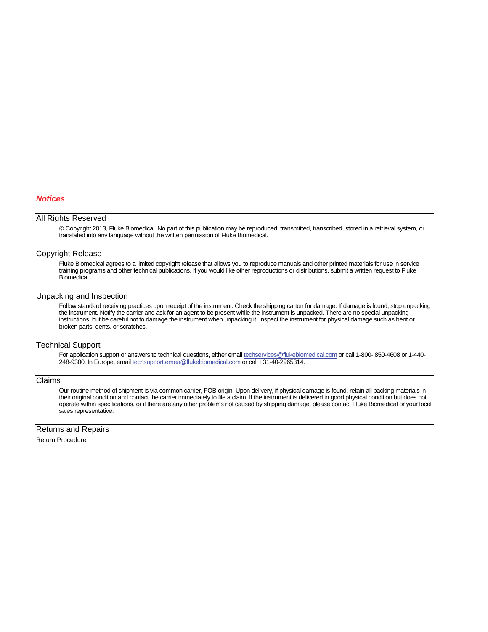#### *Notices*

#### All Rights Reserved

 Copyright 2013, Fluke Biomedical. No part of this publication may be reproduced, transmitted, transcribed, stored in a retrieval system, or translated into any language without the written permission of Fluke Biomedical.

#### Copyright Release

Fluke Biomedical agrees to a limited copyright release that allows you to reproduce manuals and other printed materials for use in service training programs and other technical publications. If you would like other reproductions or distributions, submit a written request to Fluke Biomedical.

#### Unpacking and Inspection

Follow standard receiving practices upon receipt of the instrument. Check the shipping carton for damage. If damage is found, stop unpacking the instrument. Notify the carrier and ask for an agent to be present while the instrument is unpacked. There are no special unpacking instructions, but be careful not to damage the instrument when unpacking it. Inspect the instrument for physical damage such as bent or broken parts, dents, or scratches.

#### Technical Support

For application support or answers to technical questions, either email techservices@flukebiomedical.com or call 1-800- 850-4608 or 1-440- 248-9300. In Europe, email techsupport.emea@flukebiomedical.com or call +31-40-2965314.

#### Claims

Our routine method of shipment is via common carrier, FOB origin. Upon delivery, if physical damage is found, retain all packing materials in their original condition and contact the carrier immediately to file a claim. If the instrument is delivered in good physical condition but does not operate within specifications, or if there are any other problems not caused by shipping damage, please contact Fluke Biomedical or your local sales representative.

Returns and Repairs

Return Procedure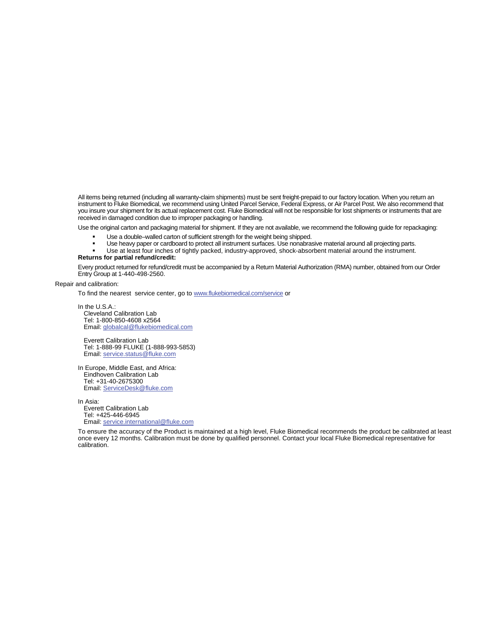All items being returned (including all warranty-claim shipments) must be sent freight-prepaid to our factory location. When you return an instrument to Fluke Biomedical, we recommend using United Parcel Service, Federal Express, or Air Parcel Post. We also recommend that you insure your shipment for its actual replacement cost. Fluke Biomedical will not be responsible for lost shipments or instruments that are received in damaged condition due to improper packaging or handling.

Use the original carton and packaging material for shipment. If they are not available, we recommend the following guide for repackaging:

- Use a double–walled carton of sufficient strength for the weight being shipped.<br>■ Use heavy paper or cardboard to protect all instrument surfaces. Use nonabras
- Use heavy paper or cardboard to protect all instrument surfaces. Use nonabrasive material around all projecting parts.
- Use at least four inches of tightly packed, industry-approved, shock-absorbent material around the instrument.

#### **Returns for partial refund/credit:**

Every product returned for refund/credit must be accompanied by a Return Material Authorization (RMA) number, obtained from our Order Entry Group at 1-440-498-2560.

Repair and calibration:

To find the nearest service center, go to www.flukebiomedical.com/service or

In the U.S.A.: Cleveland Calibration Lab Tel: 1-800-850-4608 x2564 Email: globalcal@flukebiomedical.com

 Everett Calibration Lab Tel: 1-888-99 FLUKE (1-888-993-5853) Email: service.status@fluke.com

In Europe, Middle East, and Africa: Eindhoven Calibration Lab Tel: +31-40-2675300 Email: ServiceDesk@fluke.com

In Asia: Everett Calibration Lab Tel: +425-446-6945 Email: service.international@fluke.com

To ensure the accuracy of the Product is maintained at a high level, Fluke Biomedical recommends the product be calibrated at least once every 12 months. Calibration must be done by qualified personnel. Contact your local Fluke Biomedical representative for calibration.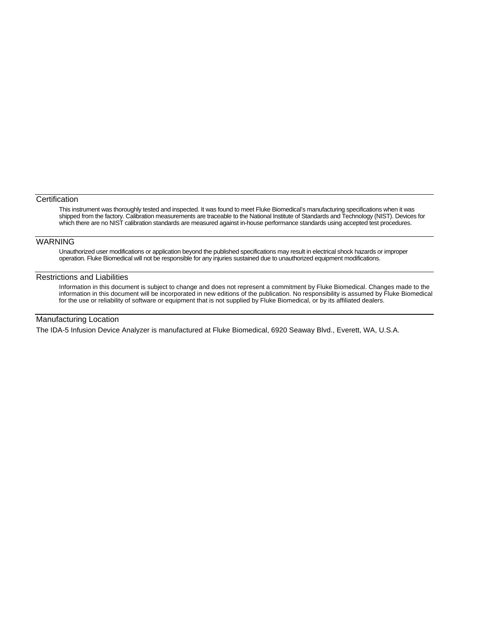#### **Certification**

This instrument was thoroughly tested and inspected. It was found to meet Fluke Biomedical's manufacturing specifications when it was shipped from the factory. Calibration measurements are traceable to the National Institute of Standards and Technology (NIST). Devices for which there are no NIST calibration standards are measured against in-house performance standards using accepted test procedures.

### **WARNING**

Unauthorized user modifications or application beyond the published specifications may result in electrical shock hazards or improper operation. Fluke Biomedical will not be responsible for any injuries sustained due to unauthorized equipment modifications.

#### Restrictions and Liabilities

Information in this document is subject to change and does not represent a commitment by Fluke Biomedical. Changes made to the information in this document will be incorporated in new editions of the publication. No responsibility is assumed by Fluke Biomedical for the use or reliability of software or equipment that is not supplied by Fluke Biomedical, or by its affiliated dealers.

## Manufacturing Location

The IDA-5 Infusion Device Analyzer is manufactured at Fluke Biomedical, 6920 Seaway Blvd., Everett, WA, U.S.A.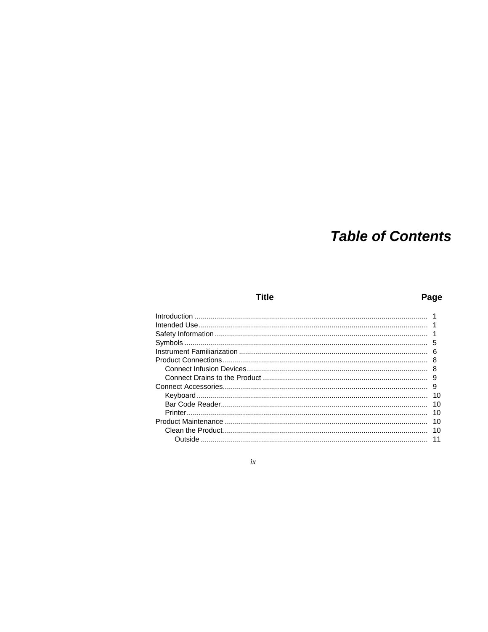# **Table of Contents**

# **Title**

# Page

| 5  |
|----|
| 6  |
| 8  |
| 8  |
|    |
| 9  |
| 10 |
| 10 |
| 10 |
| 10 |
| 10 |
| 11 |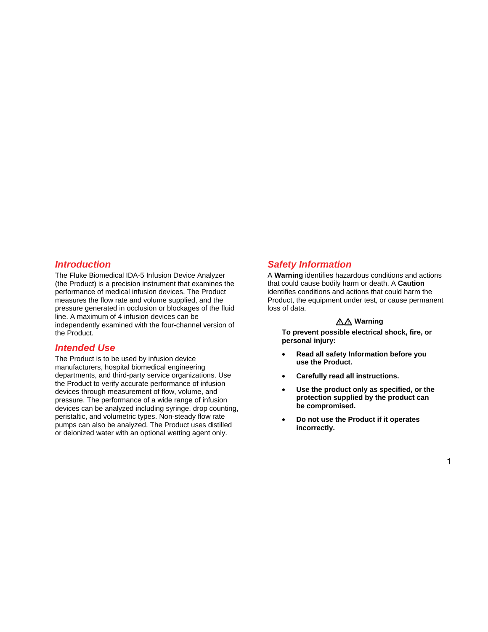# *Introduction*

The Fluke Biomedical IDA-5 Infusion Device Analyzer (the Product) is a precision instrument that examines the performance of medical infusion devices. The Product measures the flow rate and volume supplied, and the pressure generated in occlusion or blockages of the fluid line. A maximum of 4 infusion devices can be independently examined with the four-channel version of the Product.

# *Intended Use*

The Product is to be used by infusion device manufacturers, hospital biomedical engineering departments, and third-party service organizations. Use the Product to verify accurate performance of infusion devices through measurement of flow, volume, and pressure. The performance of a wide range of infusion devices can be analyzed including syringe, drop counting, peristaltic, and volumetric types. Non-steady flow rate pumps can also be analyzed. The Product uses distilled or deionized water with an optional wetting agent only.

# *Safety Information*

A **Warning** identifies hazardous conditions and actions that could cause bodily harm or death. A **Caution** identifies conditions and actions that could harm the Product, the equipment under test, or cause permanent loss of data.

#### **Warning**

**To prevent possible electrical shock, fire, or personal injury:** 

- **Read all safety Information before you use the Product.**
- **Carefully read all instructions.**
- **Use the product only as specified, or the protection supplied by the product can be compromised.**
- **Do not use the Product if it operates incorrectly.**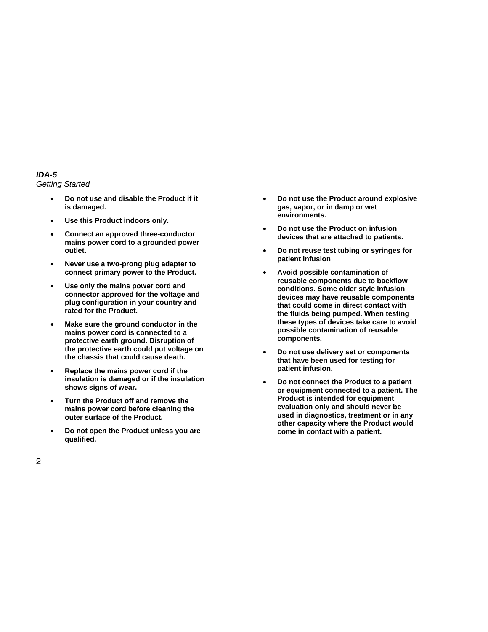*IDA-5 Getting Started* 

- **Do not use and disable the Product if it is damaged.**
- **Use this Product indoors only.**
- **Connect an approved three-conductor mains power cord to a grounded power outlet.**
- **Never use a two-prong plug adapter to connect primary power to the Product.**
- **Use only the mains power cord and connector approved for the voltage and plug configuration in your country and rated for the Product.**
- **Make sure the ground conductor in the mains power cord is connected to a protective earth ground. Disruption of the protective earth could put voltage on the chassis that could cause death.**
- **Replace the mains power cord if the insulation is damaged or if the insulation shows signs of wear.**
- **Turn the Product off and remove the mains power cord before cleaning the outer surface of the Product.**
- **Do not open the Product unless you are qualified.**
- **Do not use the Product around explosive gas, vapor, or in damp or wet environments.**
- **Do not use the Product on infusion devices that are attached to patients.**
- **Do not reuse test tubing or syringes for patient infusion**
- **Avoid possible contamination of reusable components due to backflow conditions. Some older style infusion devices may have reusable components that could come in direct contact with the fluids being pumped. When testing these types of devices take care to avoid possible contamination of reusable components.**
- **Do not use delivery set or components that have been used for testing for patient infusion.**
- **Do not connect the Product to a patient or equipment connected to a patient. The Product is intended for equipment evaluation only and should never be used in diagnostics, treatment or in any other capacity where the Product would come in contact with a patient.**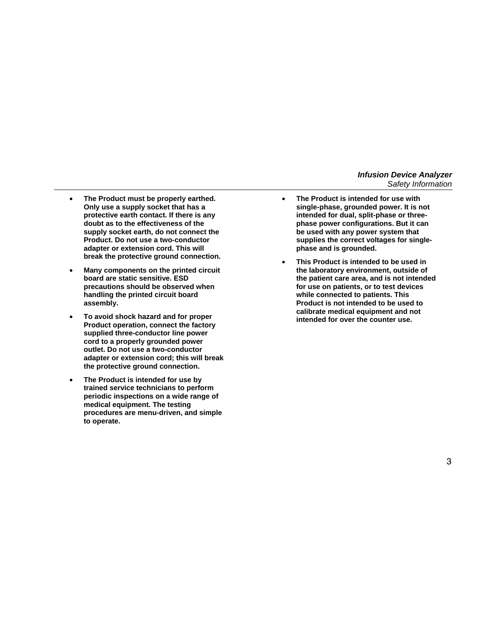- **The Product must be properly earthed. Only use a supply socket that has a protective earth contact. If there is any doubt as to the effectiveness of the supply socket earth, do not connect the Product. Do not use a two-conductor adapter or extension cord. This will break the protective ground connection.**
- **Many components on the printed circuit board are static sensitive. ESD precautions should be observed when handling the printed circuit board assembly.**
- **To avoid shock hazard and for proper Product operation, connect the factory supplied three-conductor line power cord to a properly grounded power outlet. Do not use a two-conductor adapter or extension cord; this will break the protective ground connection.**
- **The Product is intended for use by trained service technicians to perform periodic inspections on a wide range of medical equipment. The testing procedures are menu-driven, and simple to operate.**
- **The Product is intended for use with single-phase, grounded power. It is not intended for dual, split-phase or threephase power configurations. But it can be used with any power system that supplies the correct voltages for singlephase and is grounded.**
- **This Product is intended to be used in the laboratory environment, outside of the patient care area, and is not intended for use on patients, or to test devices while connected to patients. This Product is not intended to be used to calibrate medical equipment and not intended for over the counter use.**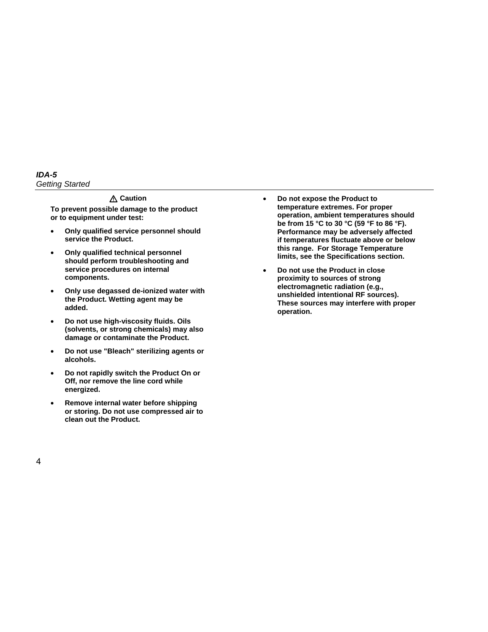#### *IDA-5 Getting Started*

#### **Caution**

**To prevent possible damage to the product or to equipment under test:** 

- **Only qualified service personnel should service the Product.**
- **Only qualified technical personnel should perform troubleshooting and service procedures on internal components.**
- **Only use degassed de-ionized water with the Product. Wetting agent may be added.**
- **Do not use high-viscosity fluids. Oils (solvents, or strong chemicals) may also damage or contaminate the Product.**
- **Do not use "Bleach" sterilizing agents or alcohols.**
- **Do not rapidly switch the Product On or Off, nor remove the line cord while energized.**
- **Remove internal water before shipping or storing. Do not use compressed air to clean out the Product.**
- **Do not expose the Product to temperature extremes. For proper operation, ambient temperatures should be from 15 °C to 30 °C (59 °F to 86 °F). Performance may be adversely affected if temperatures fluctuate above or below this range. For Storage Temperature limits, see the Specifications section.**
- **Do not use the Product in close proximity to sources of strong electromagnetic radiation (e.g., unshielded intentional RF sources). These sources may interfere with proper operation.**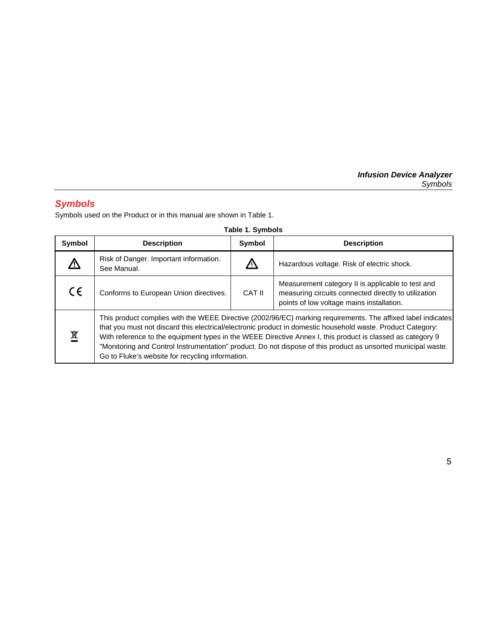# *Symbols*

Symbols used on the Product or in this manual are shown in Table 1.

| Symbol     | <b>Description</b>                                                                                                                                                                                                                                                                                                                                                                                                                                                                                             | Symbol | <b>Description</b>                                                                                                                                     |
|------------|----------------------------------------------------------------------------------------------------------------------------------------------------------------------------------------------------------------------------------------------------------------------------------------------------------------------------------------------------------------------------------------------------------------------------------------------------------------------------------------------------------------|--------|--------------------------------------------------------------------------------------------------------------------------------------------------------|
|            | Risk of Danger. Important information.<br>See Manual.                                                                                                                                                                                                                                                                                                                                                                                                                                                          |        | Hazardous voltage. Risk of electric shock.                                                                                                             |
| $\epsilon$ | Conforms to European Union directives.                                                                                                                                                                                                                                                                                                                                                                                                                                                                         | CAT II | Measurement category II is applicable to test and<br>measuring circuits connected directly to utilization<br>points of low voltage mains installation. |
| 賔          | This product complies with the WEEE Directive (2002/96/EC) marking requirements. The affixed label indicates<br>that you must not discard this electrical/electronic product in domestic household waste. Product Category:<br>With reference to the equipment types in the WEEE Directive Annex I, this product is classed as category 9<br>"Monitoring and Control Instrumentation" product. Do not dispose of this product as unsorted municipal waste.<br>Go to Fluke's website for recycling information. |        |                                                                                                                                                        |

#### **Table 1. Symbols**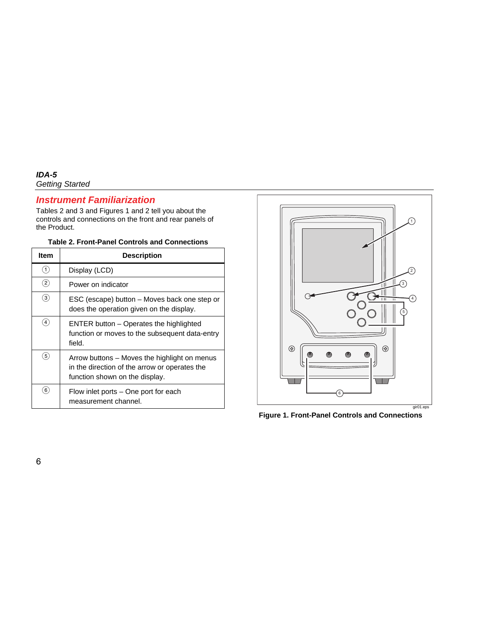# *Instrument Familiarization*

Tables 2 and 3 and Figures 1 and 2 tell you about the controls and connections on the front and rear panels of the Product.

| <b>Item</b>       | <b>Description</b>                                                                                                              |  |  |  |
|-------------------|---------------------------------------------------------------------------------------------------------------------------------|--|--|--|
| $\left(1\right)$  | Display (LCD)                                                                                                                   |  |  |  |
| $\left( 2\right)$ | Power on indicator                                                                                                              |  |  |  |
| $\left(3\right)$  | ESC (escape) button – Moves back one step or<br>does the operation given on the display.                                        |  |  |  |
| 4                 | ENTER button – Operates the highlighted<br>function or moves to the subsequent data-entry<br>field.                             |  |  |  |
| $\left[5\right]$  | Arrow buttons – Moves the highlight on menus<br>in the direction of the arrow or operates the<br>function shown on the display. |  |  |  |
| $6^{\circ}$       | Flow inlet ports – One port for each<br>measurement channel.                                                                    |  |  |  |



**Figure 1. Front-Panel Controls and Connections**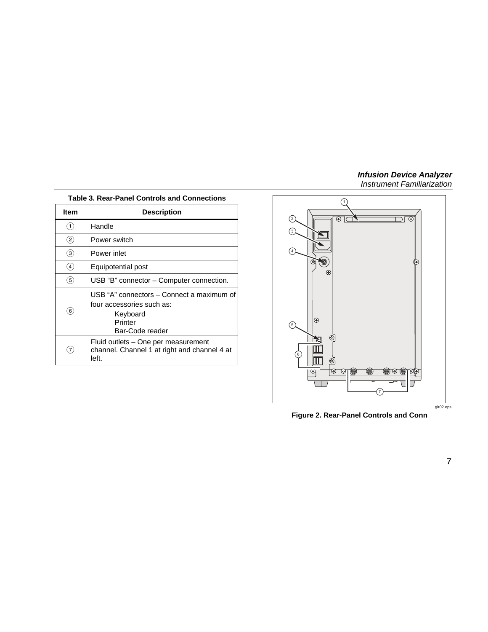### *Infusion Device Analyzer*

*Instrument Familiarization* 

| <b>Table 3. Rear-Panel Controls and Connections</b> |                                                                                                                  |  |
|-----------------------------------------------------|------------------------------------------------------------------------------------------------------------------|--|
| <b>Item</b>                                         | <b>Description</b>                                                                                               |  |
| $\left( 1\right)$                                   | Handle                                                                                                           |  |
| $\circled{2}$                                       | Power switch                                                                                                     |  |
| ③                                                   | Power inlet<br>Equipotential post                                                                                |  |
| $\left( 4\right)$                                   |                                                                                                                  |  |
| $\left( 5\right)$                                   | USB "B" connector - Computer connection.                                                                         |  |
| $\left( 6\right)$                                   | USB "A" connectors – Connect a maximum of<br>four accessories such as:<br>Keyboard<br>Printer<br>Bar-Code reader |  |
| $\left( 7\right)$                                   | Fluid outlets – One per measurement<br>channel. Channel 1 at right and channel 4 at<br>left.                     |  |



**Figure 2. Rear-Panel Controls and Conn**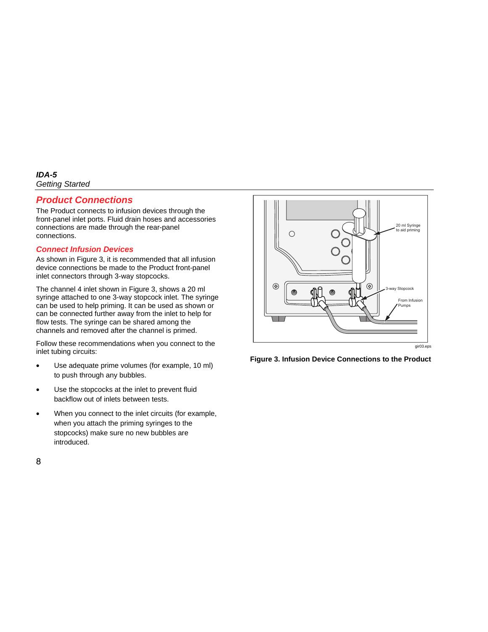# *Product Connections*

The Product connects to infusion devices through the front-panel inlet ports. Fluid drain hoses and accessories connections are made through the rear-panel connections.

### *Connect Infusion Devices*

As shown in Figure 3, it is recommended that all infusion device connections be made to the Product front-panel inlet connectors through 3-way stopcocks.

The channel 4 inlet shown in Figure 3, shows a 20 ml syringe attached to one 3-way stopcock inlet. The syringe can be used to help priming. It can be used as shown or can be connected further away from the inlet to help for flow tests. The syringe can be shared among the channels and removed after the channel is primed.

Follow these recommendations when you connect to the inlet tubing circuits:

- Use adequate prime volumes (for example, 10 ml) to push through any bubbles.
- Use the stopcocks at the inlet to prevent fluid backflow out of inlets between tests.
- When you connect to the inlet circuits (for example, when you attach the priming syringes to the stopcocks) make sure no new bubbles are introduced.



gir03.eps

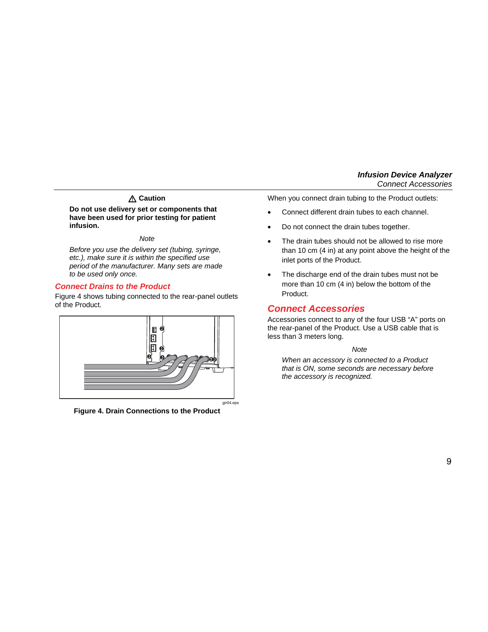# **Caution**

**Do not use delivery set or components that have been used for prior testing for patient infusion.** 

#### *Note*

*Before you use the delivery set (tubing, syringe, etc.), make sure it is within the specified use period of the manufacturer. Many sets are made to be used only once.* 

#### *Connect Drains to the Product*

Figure 4 shows tubing connected to the rear-panel outlets of the Product.



**Figure 4. Drain Connections to the Product** 

When you connect drain tubing to the Product outlets:

- Connect different drain tubes to each channel.
- Do not connect the drain tubes together.
- The drain tubes should not be allowed to rise more than 10 cm (4 in) at any point above the height of the inlet ports of the Product.
- The discharge end of the drain tubes must not be more than 10 cm (4 in) below the bottom of the Product.

# *Connect Accessories*

Accessories connect to any of the four USB "A" ports on the rear-panel of the Product. Use a USB cable that is less than 3 meters long.

#### *Note*

*When an accessory is connected to a Product that is ON, some seconds are necessary before the accessory is recognized.*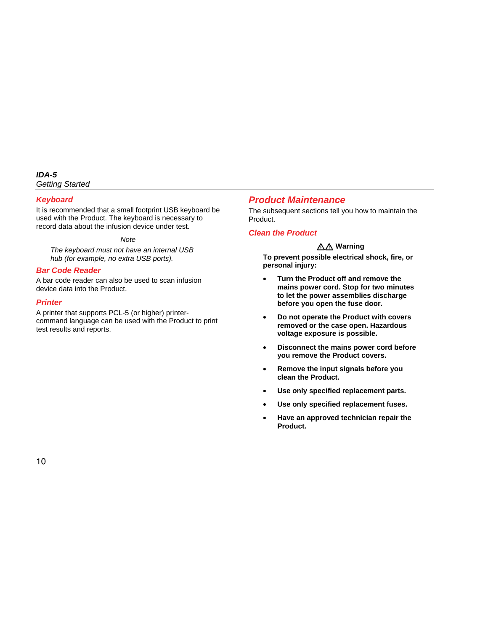## *Keyboard*

It is recommended that a small footprint USB keyboard be used with the Product. The keyboard is necessary to record data about the infusion device under test.

*Note* 

*The keyboard must not have an internal USB hub (for example, no extra USB ports).* 

# *Bar Code Reader*

A bar code reader can also be used to scan infusion device data into the Product.

### *Printer*

A printer that supports PCL-5 (or higher) printercommand language can be used with the Product to print test results and reports.

# *Product Maintenance*

The subsequent sections tell you how to maintain the Product.

## *Clean the Product*

# **Warning**

**To prevent possible electrical shock, fire, or personal injury:** 

- **Turn the Product off and remove the mains power cord. Stop for two minutes to let the power assemblies discharge before you open the fuse door.**
- **Do not operate the Product with covers removed or the case open. Hazardous voltage exposure is possible.**
- **Disconnect the mains power cord before you remove the Product covers.**
- **Remove the input signals before you clean the Product.**
- **Use only specified replacement parts.**
- **Use only specified replacement fuses.**
- **Have an approved technician repair the Product.**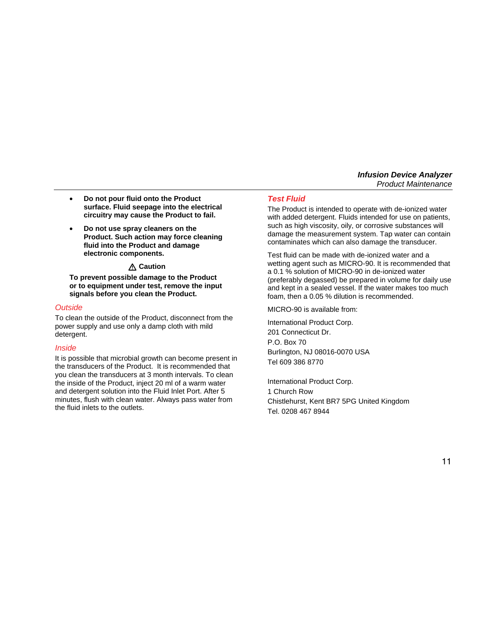- **Do not pour fluid onto the Product surface. Fluid seepage into the electrical circuitry may cause the Product to fail.**
- **Do not use spray cleaners on the Product. Such action may force cleaning fluid into the Product and damage electronic components.**

## **Caution**

**To prevent possible damage to the Product or to equipment under test, remove the input signals before you clean the Product.** 

#### *Outside*

To clean the outside of the Product, disconnect from the power supply and use only a damp cloth with mild detergent.

#### *Inside*

It is possible that microbial growth can become present in the transducers of the Product. It is recommended that you clean the transducers at 3 month intervals. To clean the inside of the Product, inject 20 ml of a warm water and detergent solution into the Fluid Inlet Port. After 5 minutes, flush with clean water. Always pass water from the fluid inlets to the outlets.

#### *Test Fluid*

The Product is intended to operate with de-ionized water with added detergent. Fluids intended for use on patients, such as high viscosity, oily, or corrosive substances will damage the measurement system. Tap water can contain contaminates which can also damage the transducer.

Test fluid can be made with de-ionized water and a wetting agent such as MICRO-90. It is recommended that a 0.1 % solution of MICRO-90 in de-ionized water (preferably degassed) be prepared in volume for daily use and kept in a sealed vessel. If the water makes too much foam, then a 0.05 % dilution is recommended.

MICRO-90 is available from:

International Product Corp. 201 Connecticut Dr. P.O. Box 70 Burlington, NJ 08016-0070 USA Tel 609 386 8770

International Product Corp. 1 Church Row Chistlehurst, Kent BR7 5PG United Kingdom Tel. 0208 467 8944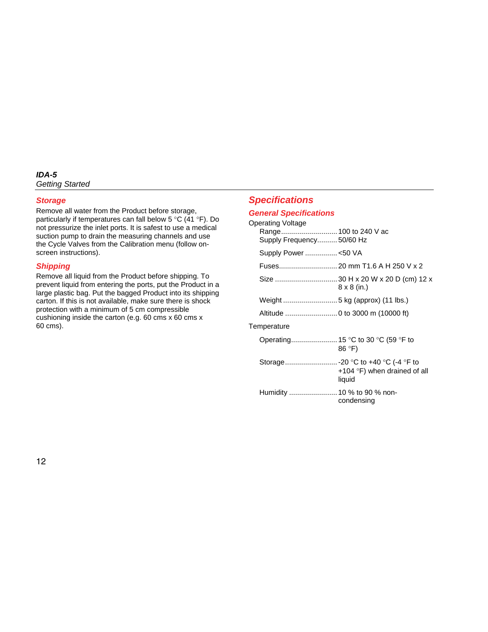### *Storage*

Remove all water from the Product before storage, particularly if temperatures can fall below 5 °C (41 °F). Do not pressurize the inlet ports. It is safest to use a medical suction pump to drain the measuring channels and use the Cycle Valves from the Calibration menu (follow onscreen instructions).

## *Shipping*

Remove all liquid from the Product before shipping. To prevent liquid from entering the ports, put the Product in a large plastic bag. Put the bagged Product into its shipping carton. If this is not available, make sure there is shock protection with a minimum of 5 cm compressible cushioning inside the carton (e.g. 60 cms x 60 cms x 60 cms).

# *Specifications*

# *General Specifications*

| Operating Voltage<br>Range 100 to 240 V ac<br>Supply Frequency 50/60 Hz |                                                                                      |
|-------------------------------------------------------------------------|--------------------------------------------------------------------------------------|
| Supply Power <50 VA                                                     |                                                                                      |
|                                                                         | Fuses 20 mm T1.6 A H 250 V x 2                                                       |
|                                                                         | $8 \times 8$ (in.)                                                                   |
|                                                                         |                                                                                      |
|                                                                         |                                                                                      |
| Temperature                                                             |                                                                                      |
|                                                                         | 86°F)                                                                                |
|                                                                         | Storage-20 °C to +40 °C (-4 °F to<br>+104 $\degree$ F) when drained of all<br>liquid |
| Humidity  10 % to 90 % non-                                             | condensing                                                                           |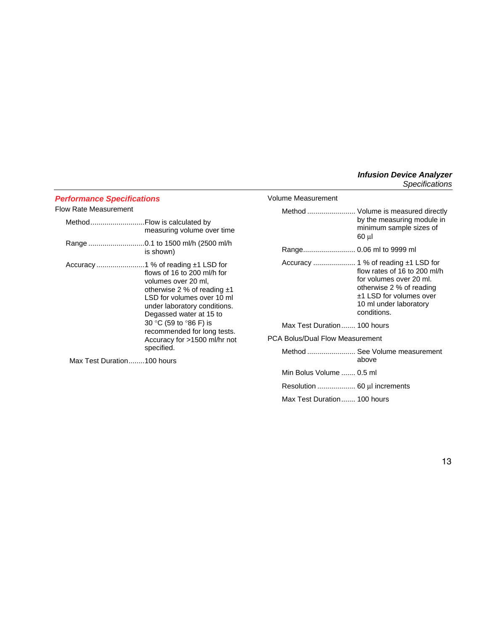## *Performance Specifications*

#### Flow Rate Measurement

| Method | .Flow is calculated by<br>measuring volume over time                                                                                                                                                                                                                                |
|--------|-------------------------------------------------------------------------------------------------------------------------------------------------------------------------------------------------------------------------------------------------------------------------------------|
|        | is shown)                                                                                                                                                                                                                                                                           |
|        | flows of 16 to 200 ml/h for<br>volumes over 20 ml,<br>otherwise 2 % of reading $±1$<br>LSD for volumes over 10 ml<br>under laboratory conditions.<br>Degassed water at 15 to<br>30 °C (59 to °86 F) is<br>recommended for long tests.<br>Accuracy for >1500 ml/hr not<br>specified. |

Max Test Duration........100 hours

| Volume Measurement              |                                                                                                                                                         |
|---------------------------------|---------------------------------------------------------------------------------------------------------------------------------------------------------|
|                                 | Method  Volume is measured directly<br>by the measuring module in<br>minimum sample sizes of<br>60 µl                                                   |
| Range 0.06 ml to 9999 ml        |                                                                                                                                                         |
|                                 | flow rates of 16 to 200 ml/h<br>for volumes over 20 ml.<br>otherwise 2 % of reading<br>±1 LSD for volumes over<br>10 ml under laboratory<br>conditions. |
| Max Test Duration 100 hours     |                                                                                                                                                         |
| PCA Bolus/Dual Flow Measurement |                                                                                                                                                         |
|                                 | Method  See Volume measurement<br>above                                                                                                                 |
| Min Bolus Volume  0.5 ml        |                                                                                                                                                         |
| Resolution  60 µl increments    |                                                                                                                                                         |
| Max Test Duration 100 hours     |                                                                                                                                                         |